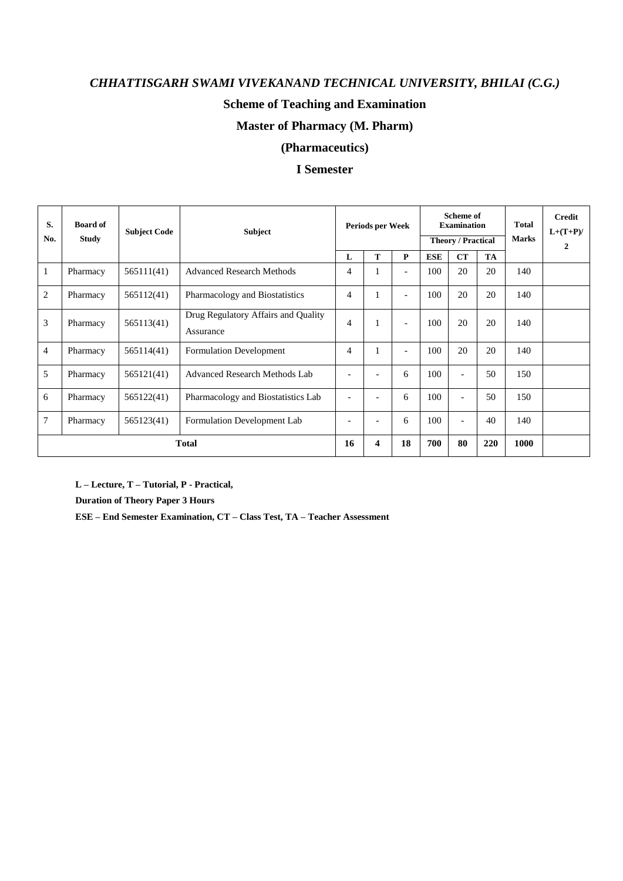### **Scheme of Teaching and Examination**

### **Master of Pharmacy (M. Pharm)**

### **(Pharmaceutics)**

### **I Semester**

| S.<br>No.      | <b>Board of</b><br><b>Study</b> | <b>Subject Code</b> | <b>Subject</b>                                   | Periods per Week             |                          | <b>Scheme of</b><br><b>Examination</b><br><b>Theory / Practical</b> |            |                          | <b>Total</b><br><b>Marks</b> | <b>Credit</b><br>$L+(T+P)/$<br>$\overline{2}$ |  |
|----------------|---------------------------------|---------------------|--------------------------------------------------|------------------------------|--------------------------|---------------------------------------------------------------------|------------|--------------------------|------------------------------|-----------------------------------------------|--|
|                |                                 |                     |                                                  | L                            | т                        | $\mathbf{P}$                                                        | <b>ESE</b> | <b>CT</b>                | <b>TA</b>                    |                                               |  |
| 1              | Pharmacy                        | 565111(41)          | <b>Advanced Research Methods</b>                 | $\overline{4}$               | 1                        | $\overline{\phantom{a}}$                                            | 100        | 20                       | 20                           | 140                                           |  |
| $\overline{2}$ | Pharmacy                        | 565112(41)          | Pharmacology and Biostatistics                   | $\overline{4}$               | 1                        | $\overline{\phantom{a}}$                                            | 100        | 20                       | 20                           | 140                                           |  |
| 3              | Pharmacy                        | 565113(41)          | Drug Regulatory Affairs and Quality<br>Assurance | $\overline{4}$               | 1                        | $\overline{\phantom{a}}$                                            | 100        | 20                       | 20                           | 140                                           |  |
| $\overline{4}$ | Pharmacy                        | 565114(41)          | <b>Formulation Development</b>                   | $\overline{4}$               | 1                        | $\overline{a}$                                                      | 100        | 20                       | 20                           | 140                                           |  |
| 5              | Pharmacy                        | 565121(41)          | Advanced Research Methods Lab                    | $\overline{\phantom{0}}$     |                          | 6                                                                   | 100        | $\overline{\phantom{a}}$ | 50                           | 150                                           |  |
| 6              | Pharmacy                        | 565122(41)          | Pharmacology and Biostatistics Lab               | $\overline{\phantom{0}}$     | $\overline{\phantom{a}}$ | 6                                                                   | 100        | $\overline{\phantom{a}}$ | 50                           | 150                                           |  |
| 7              | Pharmacy                        | 565123(41)          | Formulation Development Lab                      | $\qquad \qquad \blacksquare$ | $\overline{\phantom{a}}$ | 6                                                                   | 100        | $\overline{\phantom{a}}$ | 40                           | 140                                           |  |
|                | <b>Total</b>                    |                     |                                                  |                              | 4                        | 18                                                                  | 700        | 80                       | 220                          | 1000                                          |  |

**L – Lecture, T – Tutorial, P - Practical,** 

**Duration of Theory Paper 3 Hours** 

**ESE – End Semester Examination, CT – Class Test, TA – Teacher Assessment**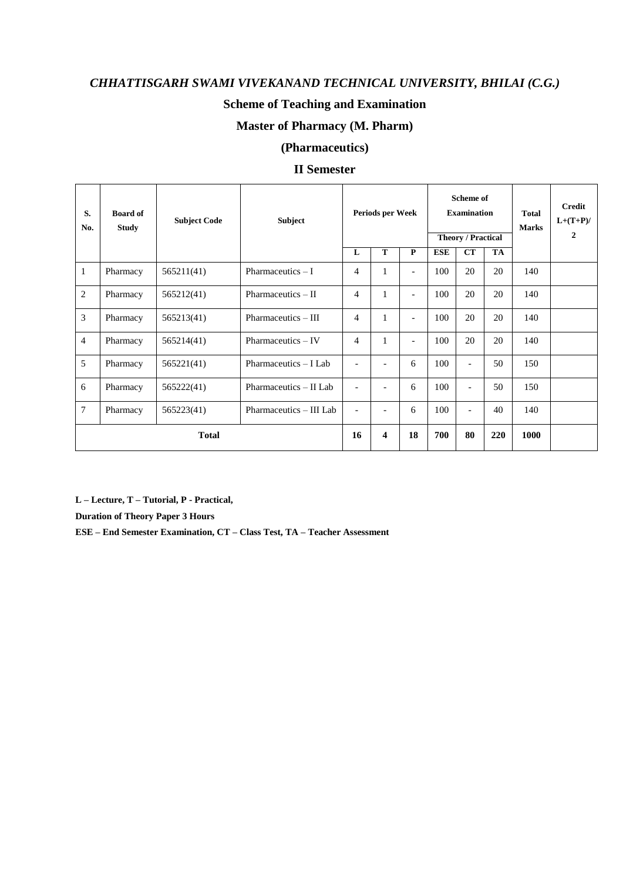### **Scheme of Teaching and Examination**

### **Master of Pharmacy (M. Pharm)**

### **(Pharmaceutics)**

#### **II Semester**

| S.<br>No.      | <b>Board of</b><br><b>Study</b> | <b>Subject Code</b> | <b>Subject</b>          |                          |                          | Periods per Week         |            |                          | <b>Scheme of</b><br><b>Examination</b><br><b>Theory / Practical</b> | <b>Total</b><br><b>Marks</b> | Credit<br>$L+(T+P)/$<br>$\overline{2}$ |
|----------------|---------------------------------|---------------------|-------------------------|--------------------------|--------------------------|--------------------------|------------|--------------------------|---------------------------------------------------------------------|------------------------------|----------------------------------------|
|                |                                 |                     |                         | L                        | T                        | P                        | <b>ESE</b> | CT                       | <b>TA</b>                                                           |                              |                                        |
| $\mathbf{1}$   | Pharmacy                        | 565211(41)          | Pharmaceutics $- I$     | $\overline{4}$           | $\mathbf{1}$             | $\overline{\phantom{a}}$ | 100        | 20                       | 20                                                                  | 140                          |                                        |
| 2              | Pharmacy                        | 565212(41)          | Pharmaceutics – II      | 4                        | 1                        | $\overline{a}$           | 100        | 20                       | 20                                                                  | 140                          |                                        |
| 3              | Pharmacy                        | 565213(41)          | Pharmaceutics – III     | 4                        | $\mathbf{1}$             | $\overline{\phantom{a}}$ | 100        | 20                       | 20                                                                  | 140                          |                                        |
| $\overline{4}$ | Pharmacy                        | 565214(41)          | Pharmaceutics - IV      | $\overline{4}$           | $\mathbf{1}$             | $\overline{\phantom{a}}$ | 100        | 20                       | 20                                                                  | 140                          |                                        |
| 5              | Pharmacy                        | 565221(41)          | Pharmaceutics – I Lab   | $\blacksquare$           | $\overline{\phantom{a}}$ | 6                        | 100        | $\overline{\phantom{a}}$ | 50                                                                  | 150                          |                                        |
| 6              | Pharmacy                        | 565222(41)          | Pharmaceutics - II Lab  | $\overline{\phantom{a}}$ | $\overline{\phantom{a}}$ | 6                        | 100        | $\overline{\phantom{a}}$ | 50                                                                  | 150                          |                                        |
| $\overline{7}$ | Pharmacy                        | 565223(41)          | Pharmaceutics - III Lab | $\overline{\phantom{a}}$ | ٠                        | 6                        | 100        | $\overline{\phantom{a}}$ | 40                                                                  | 140                          |                                        |
|                | <b>Total</b>                    |                     |                         |                          |                          | 18                       | 700        | 80                       | 220                                                                 | 1000                         |                                        |

**L – Lecture, T – Tutorial, P - Practical,** 

**Duration of Theory Paper 3 Hours** 

**ESE – End Semester Examination, CT – Class Test, TA – Teacher Assessment**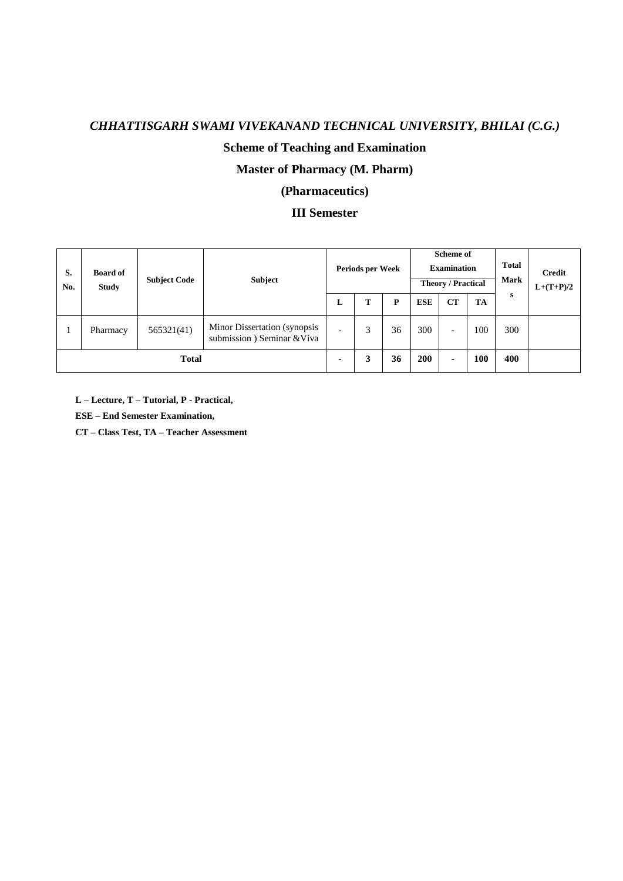### **Scheme of Teaching and Examination**

### **Master of Pharmacy (M. Pharm)**

### **(Pharmaceutics)**

### **III Semester**

| S.<br>No.    | <b>Board of</b><br><b>Study</b> | <b>Subject Code</b> | <b>Subject</b>                                             |                          | Periods per Week |    |            | Scheme of<br><b>Examination</b><br><b>Theory / Practical</b> |     | <b>Total</b><br><b>Mark</b> | <b>Credit</b><br>$L+(T+P)/2$ |
|--------------|---------------------------------|---------------------|------------------------------------------------------------|--------------------------|------------------|----|------------|--------------------------------------------------------------|-----|-----------------------------|------------------------------|
|              |                                 |                     |                                                            | L                        | T                | P  | <b>ESE</b> | CT                                                           | TA  | s                           |                              |
|              | Pharmacy                        | 565321(41)          | Minor Dissertation (synopsis<br>submission) Seminar & Viva | $\overline{\phantom{0}}$ | 3                | 36 | 300        | $\overline{\phantom{0}}$                                     | 100 | 300                         |                              |
| <b>Total</b> |                                 |                     |                                                            | ٠                        | 3                | 36 | 200        | ۰.                                                           | 100 | 400                         |                              |

**L – Lecture, T – Tutorial, P - Practical,** 

**ESE – End Semester Examination,** 

**CT – Class Test, TA – Teacher Assessment**